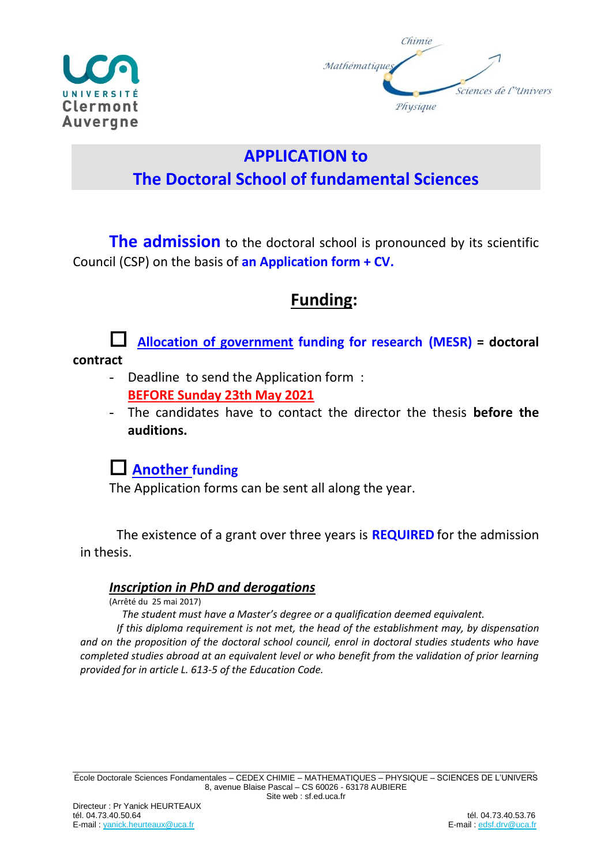



# **APPLICATION to The Doctoral School of fundamental Sciences**

**The admission** to the doctoral school is pronounced by its scientific Council (CSP) on the basis of **an Application form + CV.**

## **Funding:**



 **Allocation of government funding for research (MESR) = doctoral** 

- Deadline to send the Application form : **BEFORE Sunday 23th May 2021**
- The candidates have to contact the director the thesis **before the auditions.**

### **Another funding**

The Application forms can be sent all along the year.

The existence of a grant over three years is **REQUIRED** for the admission in thesis.

#### *Inscription in PhD and derogations*

(Arrêté du 25 mai 2017)

 *The student must have a Master's degree or a qualification deemed equivalent.* 

*If this diploma requirement is not met, the head of the establishment may, by dispensation and on the proposition of the doctoral school council, enrol in doctoral studies students who have completed studies abroad at an equivalent level or who benefit from the validation of prior learning provided for in article L. 613-5 of the Education Code.*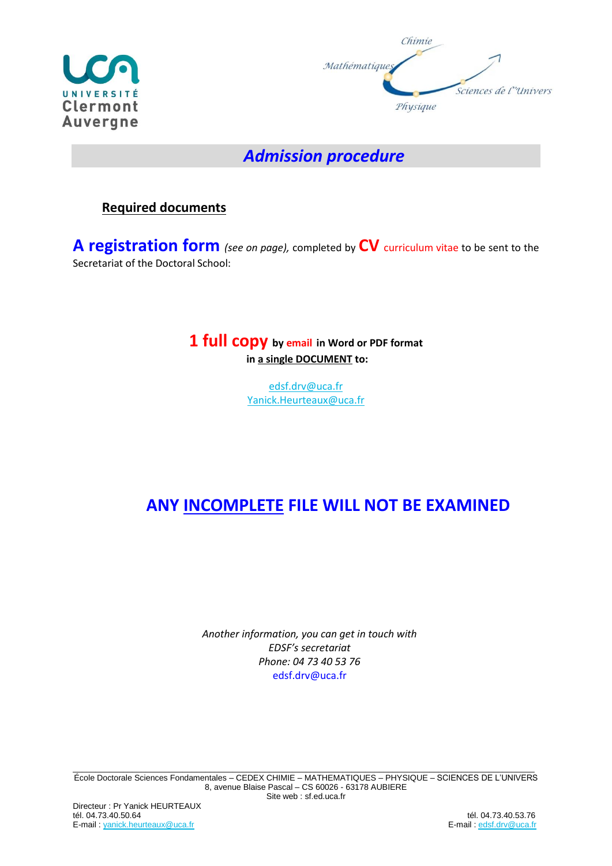



### *Admission procedure*

### **Required documents**

**A registration form** *(see on page),* completed by **CV** curriculum vitae to be sent to the Secretariat of the Doctoral School:

### **1 full copy by email in Word or PDF format in a single DOCUMENT to:**

[edsf.drv@uca.fr](mailto:edsf.drv@uca.fr) [Yanick.Heurteaux@uca.fr](mailto:Yanick.Heurteaux@uca.fr)

# **ANY INCOMPLETE FILE WILL NOT BE EXAMINED**

*Another information, you can get in touch with EDSF's secretariat Phone: 04 73 40 53 76* edsf.drv@uca.fr

\_\_\_\_\_\_\_\_\_\_\_\_\_\_\_\_\_\_\_\_\_\_\_\_\_\_\_\_\_\_\_\_\_\_\_\_\_\_\_\_\_\_\_\_\_\_\_\_\_\_\_\_\_\_\_\_\_\_\_\_\_\_\_\_\_\_\_\_\_\_\_\_\_\_\_\_\_\_\_\_\_\_\_\_\_\_\_\_\_\_\_\_\_\_\_\_\_\_\_\_\_ École Doctorale Sciences Fondamentales – CEDEX CHIMIE – MATHEMATIQUES – PHYSIQUE – SCIENCES DE L'UNIVERS 8, avenue Blaise Pascal – CS 60026 - 63178 AUBIERE Site web : sf.ed.uca.fr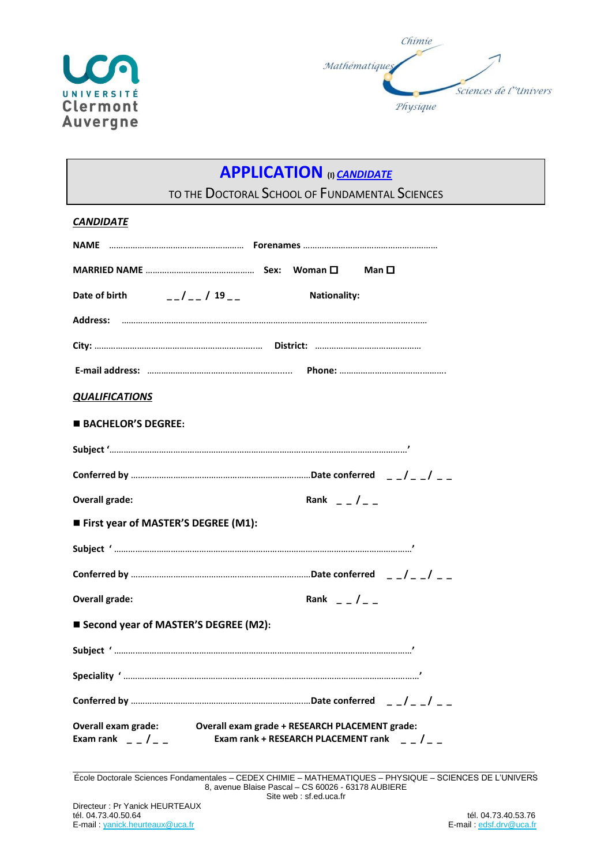



# **APPLICATION (I)** *CANDIDATE*

TO THE DOCTORAL SCHOOL OF FUNDAMENTAL SCIENCES

| <b>CANDIDATE</b>                                                                                                                             |  |  |  |  |  |
|----------------------------------------------------------------------------------------------------------------------------------------------|--|--|--|--|--|
|                                                                                                                                              |  |  |  |  |  |
|                                                                                                                                              |  |  |  |  |  |
| $-1 - 13 - 1$<br>Date of birth<br><b>Nationality:</b>                                                                                        |  |  |  |  |  |
|                                                                                                                                              |  |  |  |  |  |
|                                                                                                                                              |  |  |  |  |  |
|                                                                                                                                              |  |  |  |  |  |
| <b>QUALIFICATIONS</b>                                                                                                                        |  |  |  |  |  |
| <b>BACHELOR'S DEGREE:</b>                                                                                                                    |  |  |  |  |  |
|                                                                                                                                              |  |  |  |  |  |
|                                                                                                                                              |  |  |  |  |  |
| <b>Overall grade:</b><br>Rank $ /$ $ -$                                                                                                      |  |  |  |  |  |
| First year of MASTER'S DEGREE (M1):                                                                                                          |  |  |  |  |  |
|                                                                                                                                              |  |  |  |  |  |
|                                                                                                                                              |  |  |  |  |  |
| <b>Overall grade:</b><br>Rank $ /$ $ -$                                                                                                      |  |  |  |  |  |
| ■ Second year of MASTER'S DEGREE (M2):                                                                                                       |  |  |  |  |  |
|                                                                                                                                              |  |  |  |  |  |
|                                                                                                                                              |  |  |  |  |  |
|                                                                                                                                              |  |  |  |  |  |
| Overall exam grade: Overall exam grade + RESEARCH PLACEMENT grade:<br>Exam rank $  /$ $ -$<br>Exam rank + RESEARCH PLACEMENT rank $ -$ / $-$ |  |  |  |  |  |

\_\_\_\_\_\_\_\_\_\_\_\_\_\_\_\_\_\_\_\_\_\_\_\_\_\_\_\_\_\_\_\_\_\_\_\_\_\_\_\_\_\_\_\_\_\_\_\_\_\_\_\_\_\_\_\_\_\_\_\_\_\_\_\_\_\_\_\_\_\_\_\_\_\_\_\_\_\_\_\_\_\_\_\_\_\_\_\_\_\_\_\_\_\_\_\_\_\_\_\_\_ École Doctorale Sciences Fondamentales – CEDEX CHIMIE – MATHEMATIQUES – PHYSIQUE – SCIENCES DE L'UNIVERS 8, avenue Blaise Pascal – CS 60026 - 63178 AUBIERE Site web : sf.ed.uca.fr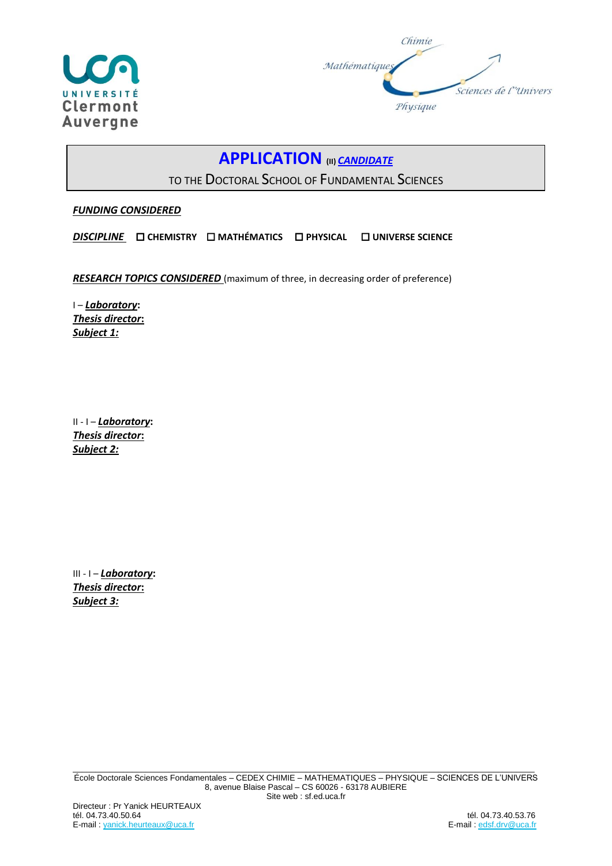



### **APPLICATION (II)** *CANDIDATE*

TO THE DOCTORAL SCHOOL OF FUNDAMENTAL SCIENCES

*FUNDING CONSIDERED*

*DISCIPLINE*  **CHEMISTRY MATHÉMATICS PHYSICAL UNIVERSE SCIENCE**

**RESEARCH TOPICS CONSIDERED** (maximum of three, in decreasing order of preference)

I – *Laboratory***:**  *Thesis director***:** *Subject 1:*

II - I – *Laboratory***:**  *Thesis director***:** *Subject 2:*

III - I – *Laboratory***:**  *Thesis director***:** *Subject 3:*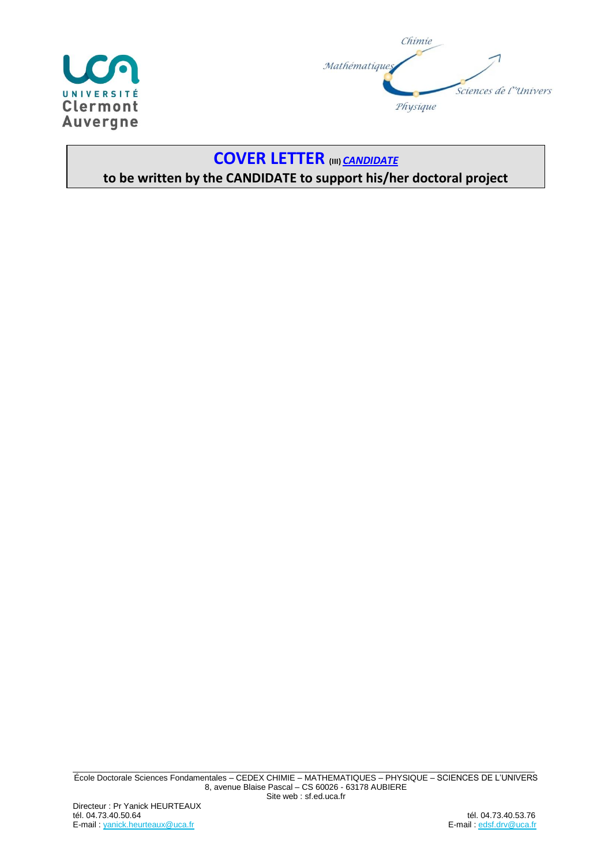



### **COVER LETTER (III)** *CANDIDATE* **to be written by the CANDIDATE to support his/her doctoral project**

\_\_\_\_\_\_\_\_\_\_\_\_\_\_\_\_\_\_\_\_\_\_\_\_\_\_\_\_\_\_\_\_\_\_\_\_\_\_\_\_\_\_\_\_\_\_\_\_\_\_\_\_\_\_\_\_\_\_\_\_\_\_\_\_\_\_\_\_\_\_\_\_\_\_\_\_\_\_\_\_\_\_\_\_\_\_\_\_\_\_\_\_\_\_\_\_\_\_\_\_\_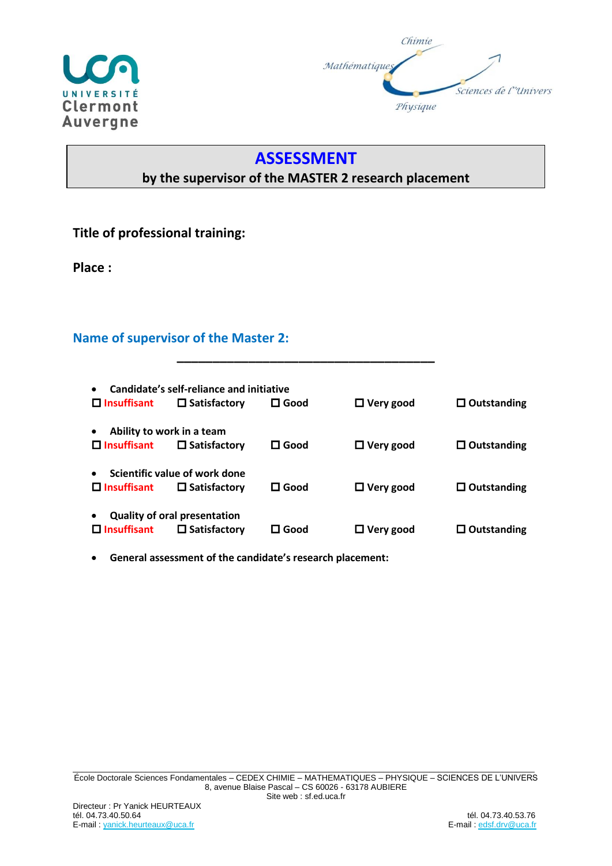



### **ASSESSMENT**

### **by the supervisor of the MASTER 2 research placement**

### **Title of professional training:**

**Place :**

#### **Name of supervisor of the Master 2:**

| Candidate's self-reliance and initiative<br>$\bullet$ |                                     |                |                  |                    |  |
|-------------------------------------------------------|-------------------------------------|----------------|------------------|--------------------|--|
| $\Box$ Insuffisant                                    | $\Box$ Satisfactory                 | $\square$ Good | $\Box$ Very good | $\Box$ Outstanding |  |
| Ability to work in a team<br>$\bullet$                |                                     |                |                  |                    |  |
| $\Box$ Insuffisant                                    | $\Box$ Satisfactory                 | $\square$ Good | $\Box$ Very good | $\Box$ Outstanding |  |
| Scientific value of work done                         |                                     |                |                  |                    |  |
| $\Box$ Insuffisant                                    | $\Box$ Satisfactory                 | $\Box$ Good    | $\Box$ Very good | $\Box$ Outstanding |  |
|                                                       | <b>Quality of oral presentation</b> |                |                  |                    |  |
| $\square$ Insuffisant                                 | $\Box$ Satisfactory                 | l Good         | $\Box$ Very good | $\Box$ Outstanding |  |

**\_\_\_\_\_\_\_\_\_\_\_\_\_\_\_\_\_\_\_\_\_\_\_\_\_\_\_\_\_\_\_\_\_\_\_\_**

• **General assessment of the candidate's research placement:**